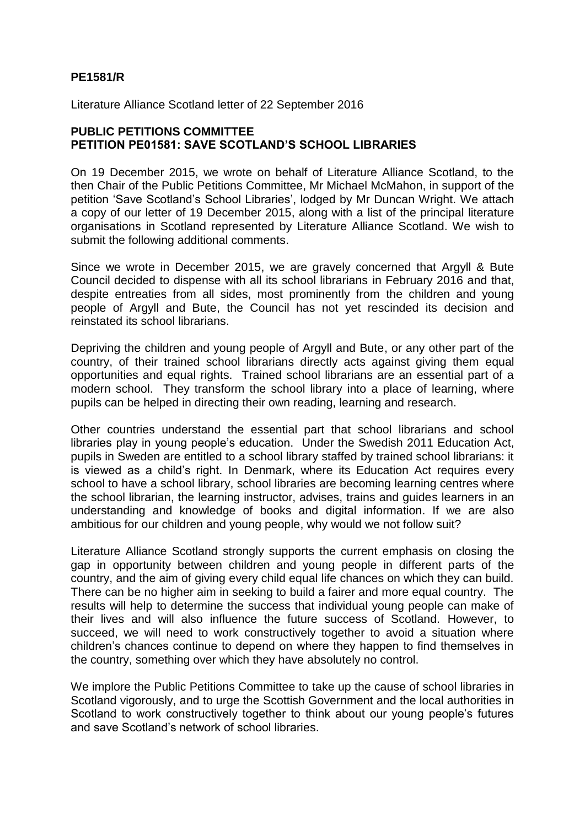## **PE1581/R**

Literature Alliance Scotland letter of 22 September 2016

## **PUBLIC PETITIONS COMMITTEE PETITION PE01581: SAVE SCOTLAND'S SCHOOL LIBRARIES**

On 19 December 2015, we wrote on behalf of Literature Alliance Scotland, to the then Chair of the Public Petitions Committee, Mr Michael McMahon, in support of the petition 'Save Scotland's School Libraries', lodged by Mr Duncan Wright. We attach a copy of our letter of 19 December 2015, along with a list of the principal literature organisations in Scotland represented by Literature Alliance Scotland. We wish to submit the following additional comments.

Since we wrote in December 2015, we are gravely concerned that Argyll & Bute Council decided to dispense with all its school librarians in February 2016 and that, despite entreaties from all sides, most prominently from the children and young people of Argyll and Bute, the Council has not yet rescinded its decision and reinstated its school librarians.

Depriving the children and young people of Argyll and Bute, or any other part of the country, of their trained school librarians directly acts against giving them equal opportunities and equal rights. Trained school librarians are an essential part of a modern school. They transform the school library into a place of learning, where pupils can be helped in directing their own reading, learning and research.

Other countries understand the essential part that school librarians and school libraries play in young people's education. Under the Swedish 2011 Education Act, pupils in Sweden are entitled to a school library staffed by trained school librarians: it is viewed as a child's right. In Denmark, where its Education Act requires every school to have a school library, school libraries are becoming learning centres where the school librarian, the learning instructor, advises, trains and guides learners in an understanding and knowledge of books and digital information. If we are also ambitious for our children and young people, why would we not follow suit?

Literature Alliance Scotland strongly supports the current emphasis on closing the gap in opportunity between children and young people in different parts of the country, and the aim of giving every child equal life chances on which they can build. There can be no higher aim in seeking to build a fairer and more equal country. The results will help to determine the success that individual young people can make of their lives and will also influence the future success of Scotland. However, to succeed, we will need to work constructively together to avoid a situation where children's chances continue to depend on where they happen to find themselves in the country, something over which they have absolutely no control.

We implore the Public Petitions Committee to take up the cause of school libraries in Scotland vigorously, and to urge the Scottish Government and the local authorities in Scotland to work constructively together to think about our young people's futures and save Scotland's network of school libraries.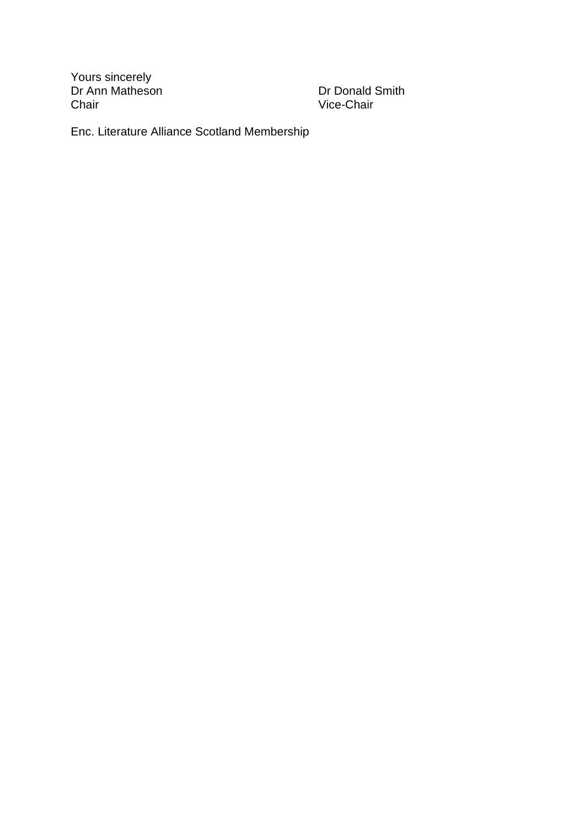Yours sincerely Dr Ann Matheson **Dr Donald Smith** Chair Vice-Chair

Enc. Literature Alliance Scotland Membership